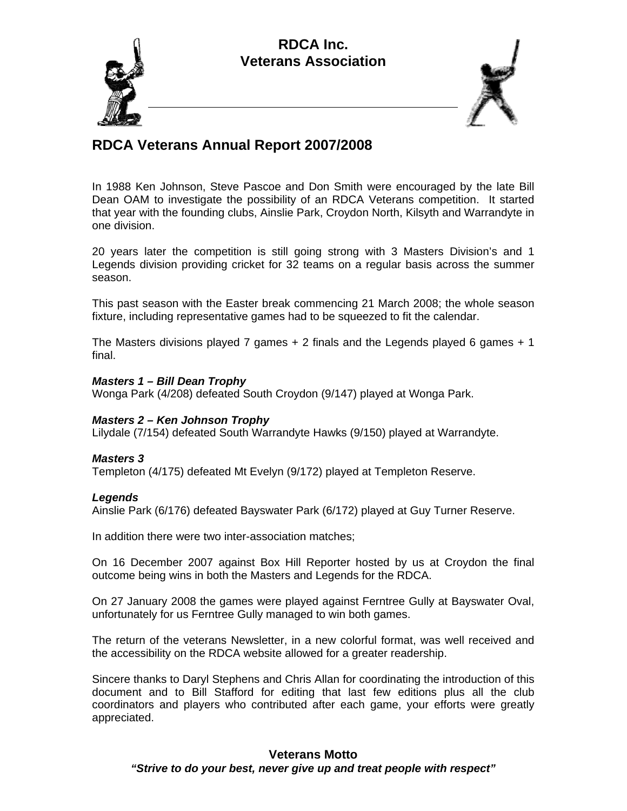## **RDCA Inc. Veterans Association**





# **RDCA Veterans Annual Report 2007/2008**

In 1988 Ken Johnson, Steve Pascoe and Don Smith were encouraged by the late Bill Dean OAM to investigate the possibility of an RDCA Veterans competition. It started that year with the founding clubs, Ainslie Park, Croydon North, Kilsyth and Warrandyte in one division.

20 years later the competition is still going strong with 3 Masters Division's and 1 Legends division providing cricket for 32 teams on a regular basis across the summer season.

This past season with the Easter break commencing 21 March 2008; the whole season fixture, including representative games had to be squeezed to fit the calendar.

The Masters divisions played 7 games  $+ 2$  finals and the Legends played 6 games  $+ 1$ final.

#### *Masters 1 – Bill Dean Trophy*

Wonga Park (4/208) defeated South Croydon (9/147) played at Wonga Park.

## *Masters 2 – Ken Johnson Trophy*

Lilydale (7/154) defeated South Warrandyte Hawks (9/150) played at Warrandyte.

#### *Masters 3*

Templeton (4/175) defeated Mt Evelyn (9/172) played at Templeton Reserve.

#### *Legends*

Ainslie Park (6/176) defeated Bayswater Park (6/172) played at Guy Turner Reserve.

In addition there were two inter-association matches;

On 16 December 2007 against Box Hill Reporter hosted by us at Croydon the final outcome being wins in both the Masters and Legends for the RDCA.

On 27 January 2008 the games were played against Ferntree Gully at Bayswater Oval, unfortunately for us Ferntree Gully managed to win both games.

The return of the veterans Newsletter, in a new colorful format, was well received and the accessibility on the RDCA website allowed for a greater readership.

Sincere thanks to Daryl Stephens and Chris Allan for coordinating the introduction of this document and to Bill Stafford for editing that last few editions plus all the club coordinators and players who contributed after each game, your efforts were greatly appreciated.

### **Veterans Motto**  *"Strive to do your best, never give up and treat people with respect"*